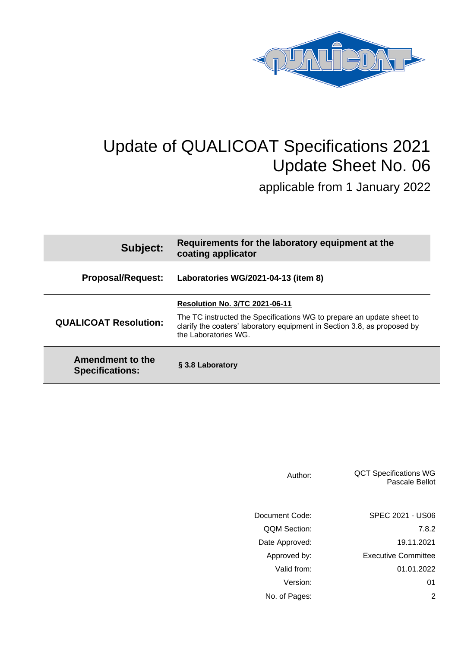

## Update of QUALICOAT Specifications 2021 Update Sheet No. 06

applicable from 1 January 2022

| Subject:                                   | Requirements for the laboratory equipment at the<br>coating applicator                                                                                                    |  |
|--------------------------------------------|---------------------------------------------------------------------------------------------------------------------------------------------------------------------------|--|
| <b>Proposal/Request:</b>                   | Laboratories WG/2021-04-13 (item 8)                                                                                                                                       |  |
|                                            | <b>Resolution No. 3/TC 2021-06-11</b>                                                                                                                                     |  |
| <b>QUALICOAT Resolution:</b>               | The TC instructed the Specifications WG to prepare an update sheet to<br>clarify the coaters' laboratory equipment in Section 3.8, as proposed by<br>the Laboratories WG. |  |
| Amendment to the<br><b>Specifications:</b> | § 3.8 Laboratory                                                                                                                                                          |  |

| Author:             | <b>QCT Specifications WG</b><br><b>Pascale Bellot</b> |
|---------------------|-------------------------------------------------------|
| Document Code:      | SPEC 2021 - US06                                      |
| <b>QQM Section:</b> | 7.8.2                                                 |
| Date Approved:      | 19.11.2021                                            |
| Approved by:        | <b>Executive Committee</b>                            |
| Valid from:         | 01.01.2022                                            |
| Version:            | 01                                                    |
| No. of Pages:       | 2                                                     |
|                     |                                                       |